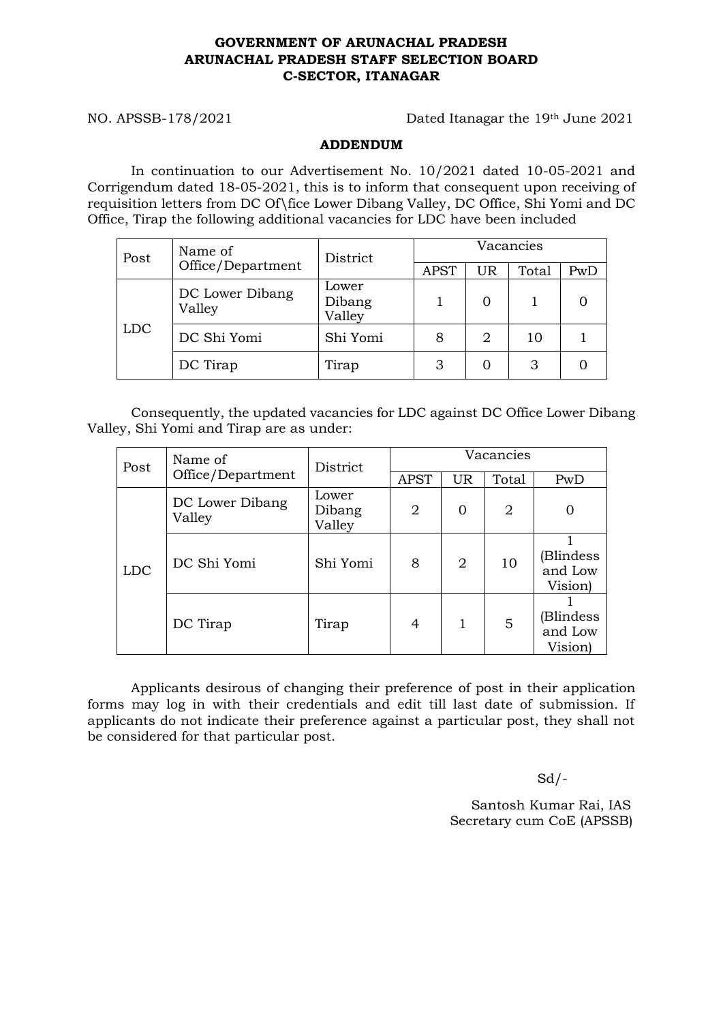## **GOVERNMENT OF ARUNACHAL PRADESH ARUNACHAL PRADESH STAFF SELECTION BOARD C-SECTOR, ITANAGAR**

NO. APSSB-178/2021 Dated Itanagar the 19th June 2021

## **ADDENDUM**

In continuation to our Advertisement No. 10/2021 dated 10-05-2021 and Corrigendum dated 18-05-2021, this is to inform that consequent upon receiving of requisition letters from DC Of\fice Lower Dibang Valley, DC Office, Shi Yomi and DC Office, Tirap the following additional vacancies for LDC have been included

| Post       | Name of<br>Office/Department | District                  | Vacancies   |    |       |     |
|------------|------------------------------|---------------------------|-------------|----|-------|-----|
|            |                              |                           | <b>APST</b> | UR | Total | PwD |
| <b>LDC</b> | DC Lower Dibang<br>Valley    | Lower<br>Dibang<br>Valley |             | 0  |       |     |
|            | DC Shi Yomi                  | Shi Yomi                  | 8           | 2  | 10    |     |
|            | DC Tirap                     | Tirap                     |             |    | З     |     |

Consequently, the updated vacancies for LDC against DC Office Lower Dibang Valley, Shi Yomi and Tirap are as under:

| Post       | Name of<br>Office/Department | District                  | Vacancies      |                |       |                                  |  |
|------------|------------------------------|---------------------------|----------------|----------------|-------|----------------------------------|--|
|            |                              |                           | <b>APST</b>    | UR             | Total | PwD                              |  |
| <b>LDC</b> | DC Lower Dibang<br>Valley    | Lower<br>Dibang<br>Valley | $\overline{2}$ | $\overline{0}$ | 2     |                                  |  |
|            | DC Shi Yomi                  | Shi Yomi                  | 8              | $\overline{2}$ | 10    | (Blindess<br>and Low<br>Vision)  |  |
|            | DC Tirap                     | Tirap                     | 4              | 1              | 5     | (Blindess)<br>and Low<br>Vision) |  |

Applicants desirous of changing their preference of post in their application forms may log in with their credentials and edit till last date of submission. If applicants do not indicate their preference against a particular post, they shall not be considered for that particular post.

## $Sd$  /-

 Santosh Kumar Rai, IAS Secretary cum CoE (APSSB)